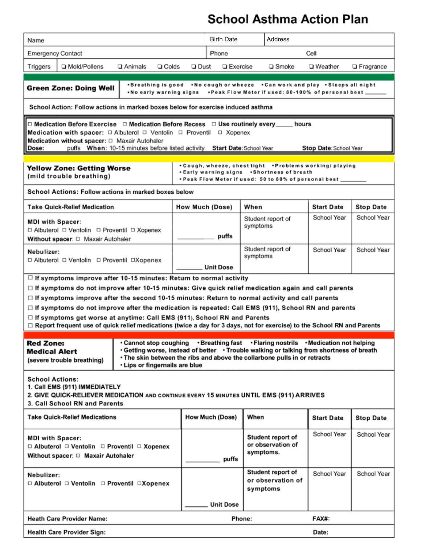## **School Asthma Action Plan**

| Name                                                                                                                                                                                                                                                                                                                                                                          |                                     |                                                                                                                                                                                                                                                                                                |                                                                                                                                                                   | <b>Birth Date</b> |           | Address                                |                   |                    |  |
|-------------------------------------------------------------------------------------------------------------------------------------------------------------------------------------------------------------------------------------------------------------------------------------------------------------------------------------------------------------------------------|-------------------------------------|------------------------------------------------------------------------------------------------------------------------------------------------------------------------------------------------------------------------------------------------------------------------------------------------|-------------------------------------------------------------------------------------------------------------------------------------------------------------------|-------------------|-----------|----------------------------------------|-------------------|--------------------|--|
| <b>Emergency Contact</b>                                                                                                                                                                                                                                                                                                                                                      |                                     |                                                                                                                                                                                                                                                                                                |                                                                                                                                                                   | Phone             |           | Cell                                   |                   |                    |  |
| Triggers                                                                                                                                                                                                                                                                                                                                                                      | Mold/Pollens                        | $\Box$ Colds<br>□ Animals                                                                                                                                                                                                                                                                      | <b>□</b> Dust                                                                                                                                                     | □ Exercise        |           | □ Smoke                                | □ Weather         | <b>D</b> Fragrance |  |
|                                                                                                                                                                                                                                                                                                                                                                               |                                     |                                                                                                                                                                                                                                                                                                |                                                                                                                                                                   |                   |           |                                        |                   |                    |  |
| •Breathing is good •No cough or wheeze •Can work and play •Sleeps all night<br>Green Zone: Doing Well<br>• Peak Flow Meter if used: 80-100% of personal best __<br>•No early warning signs                                                                                                                                                                                    |                                     |                                                                                                                                                                                                                                                                                                |                                                                                                                                                                   |                   |           |                                        |                   |                    |  |
| School Action: Follow actions in marked boxes below for exercise induced asthma                                                                                                                                                                                                                                                                                               |                                     |                                                                                                                                                                                                                                                                                                |                                                                                                                                                                   |                   |           |                                        |                   |                    |  |
| $\Box$ Medication Before Exercise $\Box$ Medication Before Recess $\Box$ Use routinely every<br>hours<br><b>Medication with spacer:</b> $\Box$ Albuterol $\Box$ Ventolin $\Box$ Proventil $\Box$ Xopenex<br>Medication without spacer: $\Box$ Maxair Autohaler<br>puffs When: 10-15 minutes before listed activity Start Date: School Year<br>Dose:<br>Stop Date: School Year |                                     |                                                                                                                                                                                                                                                                                                |                                                                                                                                                                   |                   |           |                                        |                   |                    |  |
| <b>Yellow Zone: Getting Worse</b><br>(mild trouble breathing)                                                                                                                                                                                                                                                                                                                 |                                     |                                                                                                                                                                                                                                                                                                | . Cough, wheeze, chest tight . Problems working/playing<br>. Early warning signs . Shortness of breath<br>• Peak Flow Meter if used: 50 to 80% of personal best _ |                   |           |                                        |                   |                    |  |
|                                                                                                                                                                                                                                                                                                                                                                               |                                     | School Actions: Follow actions in marked boxes below                                                                                                                                                                                                                                           |                                                                                                                                                                   |                   |           |                                        |                   |                    |  |
|                                                                                                                                                                                                                                                                                                                                                                               | <b>Take Quick-Relief Medication</b> |                                                                                                                                                                                                                                                                                                |                                                                                                                                                                   | How Much (Dose)   |           |                                        | <b>Start Date</b> | <b>Stop Date</b>   |  |
| <b>MDI with Spacer:</b><br>□ Albuterol □ Ventolin □ Proventil □ Xopenex<br>Without spacer: $\Box$ Maxair Autohaler                                                                                                                                                                                                                                                            |                                     |                                                                                                                                                                                                                                                                                                |                                                                                                                                                                   | puffs             |           | Student report of<br>symptoms          | School Year       | School Year        |  |
| Nebulizer:<br>□ Albuterol □ Ventolin □ Proventil □Xopenex                                                                                                                                                                                                                                                                                                                     |                                     |                                                                                                                                                                                                                                                                                                |                                                                                                                                                                   | <b>Unit Dose</b>  |           | Student report of<br>symptoms          | School Year       | School Year        |  |
|                                                                                                                                                                                                                                                                                                                                                                               |                                     | $\Box$ If symptoms improve after 10-15 minutes: Return to normal activity                                                                                                                                                                                                                      |                                                                                                                                                                   |                   |           |                                        |                   |                    |  |
|                                                                                                                                                                                                                                                                                                                                                                               |                                     | $\Box$ If symptoms do not improve after 10-15 minutes: Give quick relief medication again and call parents                                                                                                                                                                                     |                                                                                                                                                                   |                   |           |                                        |                   |                    |  |
|                                                                                                                                                                                                                                                                                                                                                                               |                                     | $\Box$ If symptoms improve after the second 10-15 minutes: Return to normal activity and call parents                                                                                                                                                                                          |                                                                                                                                                                   |                   |           |                                        |                   |                    |  |
| $\Box$ If symptoms do not improve after the medication is repeated: Call EMS (911), School RN and parents<br>$\Box$ If symptoms get worse at anytime: Call EMS (911), School RN and Parents<br>□ Report frequent use of quick relief medications (twice a day for 3 days, not for exercise) to the School RN and Parents                                                      |                                     |                                                                                                                                                                                                                                                                                                |                                                                                                                                                                   |                   |           |                                        |                   |                    |  |
| <b>Red Zone:</b><br><b>Medical Alert</b>                                                                                                                                                                                                                                                                                                                                      | (severe trouble breathing)          | • Cannot stop coughing • Breathing fast • Flaring nostrils • Medication not helping<br>. Getting worse, instead of better → Trouble walking or talking from shortness of breath<br>. The skin between the ribs and above the collarbone pulls in or retracts<br>· Lips or fingernails are blue |                                                                                                                                                                   |                   |           |                                        |                   |                    |  |
| <b>School Actions:</b><br>1. Call EMS (911) IMMEDIATELY<br>2. GIVE QUICK-RELIEVER MEDICATION AND CONTINUE EVERY 15 MINUTES UNTIL EMS (911) ARRIVES<br>3. Call School RN and Parents                                                                                                                                                                                           |                                     |                                                                                                                                                                                                                                                                                                |                                                                                                                                                                   |                   |           |                                        |                   |                    |  |
| <b>Take Quick-Relief Medications</b>                                                                                                                                                                                                                                                                                                                                          |                                     |                                                                                                                                                                                                                                                                                                |                                                                                                                                                                   | How Much (Dose)   | When      |                                        | <b>Start Date</b> | <b>Stop Date</b>   |  |
| <b>MDI with Spacer:</b><br>□ Albuterol □ Ventolin □ Proventil □ Xopenex<br>Without spacer: $\Box$ Maxair Autohaler                                                                                                                                                                                                                                                            |                                     |                                                                                                                                                                                                                                                                                                |                                                                                                                                                                   | puffs             | symptoms. | Student report of<br>or observation of | School Year       | School Year        |  |
| Nebulizer:<br>□ Albuterol □ Ventolin □ Proventil □Xopenex                                                                                                                                                                                                                                                                                                                     |                                     |                                                                                                                                                                                                                                                                                                |                                                                                                                                                                   |                   | symptoms  | Student report of<br>or observation of | School Year       | School Year        |  |
|                                                                                                                                                                                                                                                                                                                                                                               |                                     |                                                                                                                                                                                                                                                                                                |                                                                                                                                                                   | <b>Unit Dose</b>  |           |                                        |                   |                    |  |
| <b>Heath Care Provider Name:</b><br>Phone:<br>FAX#:                                                                                                                                                                                                                                                                                                                           |                                     |                                                                                                                                                                                                                                                                                                |                                                                                                                                                                   |                   |           |                                        |                   |                    |  |
| <b>Health Care Provider Sign:</b>                                                                                                                                                                                                                                                                                                                                             |                                     |                                                                                                                                                                                                                                                                                                |                                                                                                                                                                   |                   |           |                                        | Date:             |                    |  |